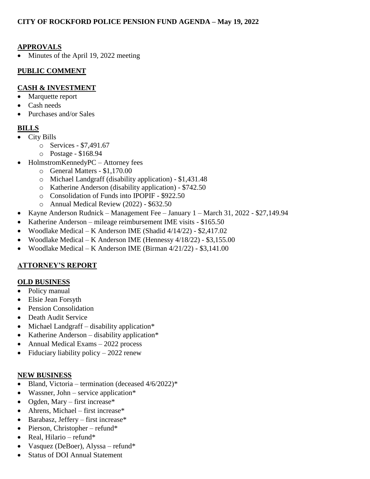## **APPROVALS**

Minutes of the April 19, 2022 meeting

#### **PUBLIC COMMENT**

#### **CASH & INVESTMENT**

- Marquette report
- Cash needs
- Purchases and/or Sales

## **BILLS**

- City Bills
	- o Services \$7,491.67
	- o Postage \$168.94
- HolmstromKennedyPC Attorney fees
	- o General Matters \$1,170.00
	- o Michael Landgraff (disability application) \$1,431.48
	- o Katherine Anderson (disability application) \$742.50
	- o Consolidation of Funds into IPOPIF \$922.50
	- o Annual Medical Review (2022) \$632.50
- Kayne Anderson Rudnick Management Fee January 1 March 31, 2022 \$27,149.94
- Katherine Anderson mileage reimbursement IME visits \$165.50
- Woodlake Medical K Anderson IME (Shadid 4/14/22) \$2,417.02
- Woodlake Medical K Anderson IME (Hennessy 4/18/22) \$3,155.00
- Woodlake Medical K Anderson IME (Birman  $4/21/22$ ) \$3,141.00

## **ATTORNEY'S REPORT**

# **OLD BUSINESS**

- Policy manual
- Elsie Jean Forsyth
- Pension Consolidation
- Death Audit Service
- $\bullet$  Michael Landgraff disability application\*
- Katherine Anderson disability application\*
- Annual Medical Exams 2022 process
- Fiduciary liability policy  $-2022$  renew

#### **NEW BUSINESS**

- Bland, Victoria termination (deceased  $4/6/2022$ )\*
- Wassner, John service application\*
- Ogden, Mary first increase\*
- Ahrens, Michael first increase\*
- $\bullet$  Barabasz, Jeffery first increase\*
- Pierson, Christopher refund\*
- Real, Hilario refund\*
- Vasquez (DeBoer), Alyssa refund\*
- Status of DOI Annual Statement